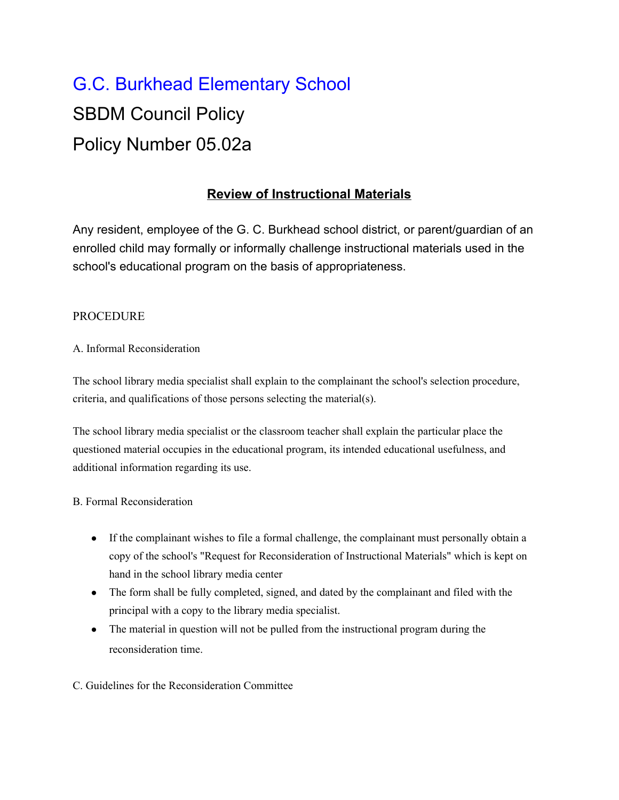# G.C. Burkhead Elementary School SBDM Council Policy Policy Number 05.02a

## **Review of Instructional Materials**

Any resident, employee of the G. C. Burkhead school district, or parent/guardian of an enrolled child may formally or informally challenge instructional materials used in the school's educational program on the basis of appropriateness.

### PROCEDURE

#### A. Informal Reconsideration

The school library media specialist shall explain to the complainant the school's selection procedure, criteria, and qualifications of those persons selecting the material(s).

The school library media specialist or the classroom teacher shall explain the particular place the questioned material occupies in the educational program, its intended educational usefulness, and additional information regarding its use.

#### B. Formal Reconsideration

- If the complainant wishes to file a formal challenge, the complainant must personally obtain a copy of the school's "Request for Reconsideration of Instructional Materials" which is kept on hand in the school library media center
- The form shall be fully completed, signed, and dated by the complainant and filed with the principal with a copy to the library media specialist.
- The material in question will not be pulled from the instructional program during the reconsideration time.

#### C. Guidelines for the Reconsideration Committee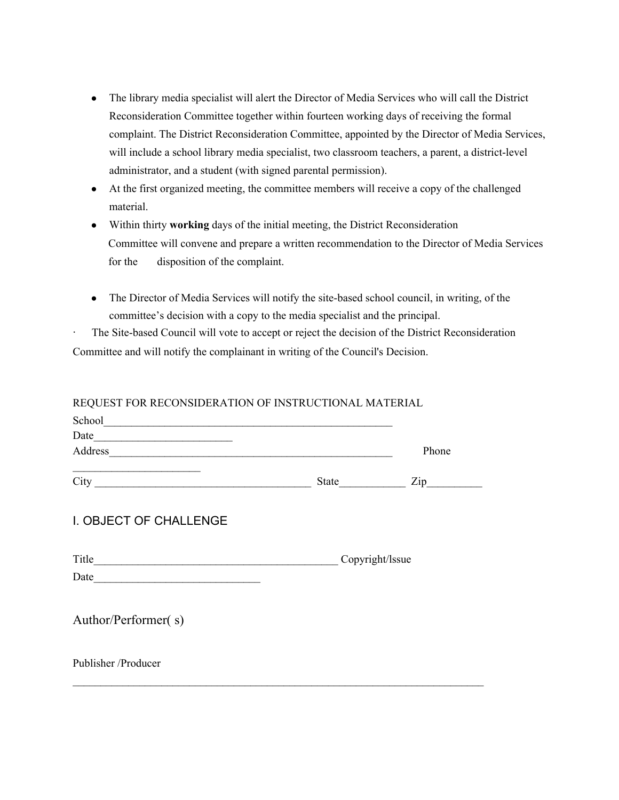- The library media specialist will alert the Director of Media Services who will call the District Reconsideration Committee together within fourteen working days of receiving the formal complaint. The District Reconsideration Committee, appointed by the Director of Media Services, will include a school library media specialist, two classroom teachers, a parent, a district-level administrator, and a student (with signed parental permission).
- At the first organized meeting, the committee members will receive a copy of the challenged material.
- Within thirty **working** days of the initial meeting, the District Reconsideration Committee will convene and prepare a written recommendation to the Director of Media Services for the disposition of the complaint.
- The Director of Media Services will notify the site-based school council, in writing, of the committee's decision with a copy to the media specialist and the principal.

The Site-based Council will vote to accept or reject the decision of the District Reconsideration Committee and will notify the complainant in writing of the Council's Decision.

#### REQUEST FOR RECONSIDERATION OF INSTRUCTIONAL MATERIAL

| School <u>and</u> the second second second second second second second second second second second second second second second second second second second second second second second second second second second second second se |                 |                  |
|-------------------------------------------------------------------------------------------------------------------------------------------------------------------------------------------------------------------------------------|-----------------|------------------|
|                                                                                                                                                                                                                                     |                 |                  |
|                                                                                                                                                                                                                                     |                 | Phone            |
| <u> 1989 - Johann John Stone, markin f</u>                                                                                                                                                                                          |                 | $\mathsf{Zip}\_$ |
| I. OBJECT OF CHALLENGE                                                                                                                                                                                                              |                 |                  |
|                                                                                                                                                                                                                                     | Copyright/Issue |                  |
|                                                                                                                                                                                                                                     |                 |                  |
| Author/Performer(s)                                                                                                                                                                                                                 |                 |                  |
| Publisher/Producer                                                                                                                                                                                                                  |                 |                  |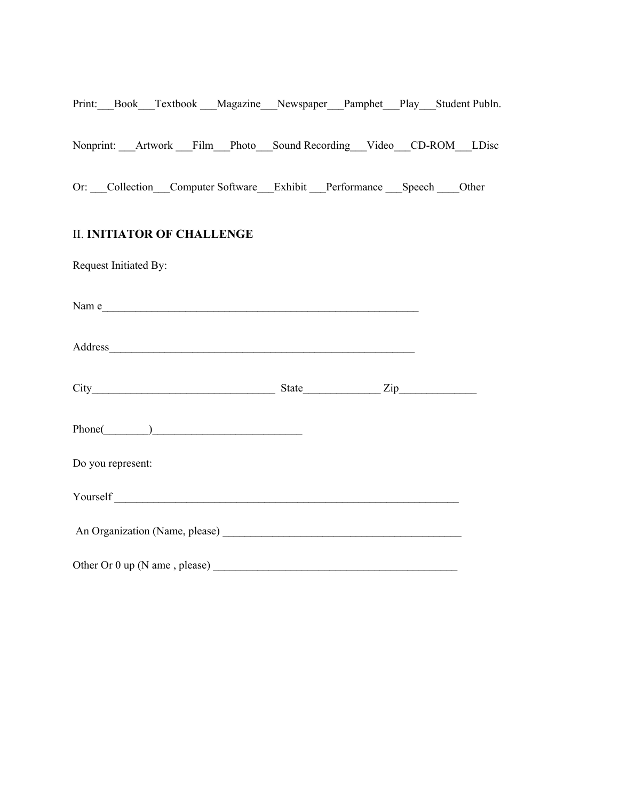|                       | Print: Book Textbook Magazine Newspaper Pamphet Play Student Publn. |  |  |  |  |
|-----------------------|---------------------------------------------------------------------|--|--|--|--|
|                       | Nonprint: Artwork Film Photo Sound-Recording Video CD-ROM LDisc     |  |  |  |  |
|                       | Or: Collection Computer Software Exhibit Performance Speech Other   |  |  |  |  |
|                       | <b>II. INITIATOR OF CHALLENGE</b>                                   |  |  |  |  |
| Request Initiated By: |                                                                     |  |  |  |  |
|                       | Name                                                                |  |  |  |  |
|                       |                                                                     |  |  |  |  |
|                       |                                                                     |  |  |  |  |
|                       | $Phone(\_)$                                                         |  |  |  |  |
| Do you represent:     |                                                                     |  |  |  |  |
|                       |                                                                     |  |  |  |  |
|                       |                                                                     |  |  |  |  |
|                       |                                                                     |  |  |  |  |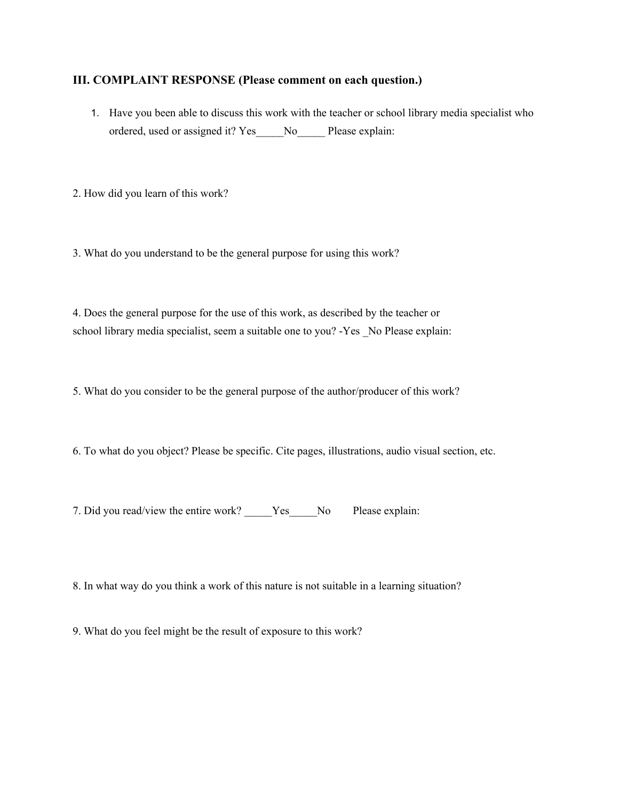#### **III. COMPLAINT RESPONSE (Please comment on each question.)**

1. Have you been able to discuss this work with the teacher or school library media specialist who ordered, used or assigned it? Yes\_\_\_\_\_No\_\_\_\_\_ Please explain:

2. How did you learn of this work?

3. What do you understand to be the general purpose for using this work?

4. Does the general purpose for the use of this work, as described by the teacher or school library media specialist, seem a suitable one to you? -Yes No Please explain:

5. What do you consider to be the general purpose of the author/producer of this work?

6. To what do you object? Please be specific. Cite pages, illustrations, audio visual section, etc.

7. Did you read/view the entire work? \_\_\_\_\_Yes\_\_\_\_\_No Please explain:

8. In what way do you think a work of this nature is not suitable in a learning situation?

9. What do you feel might be the result of exposure to this work?